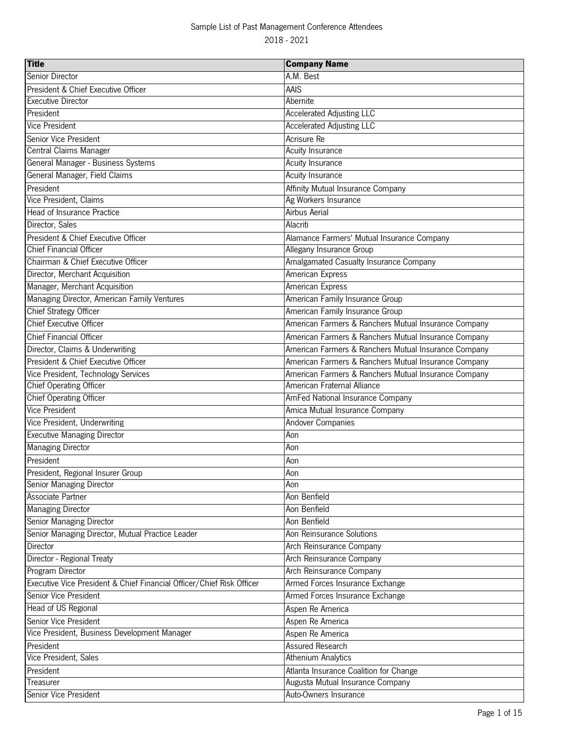| A.M. Best<br>Senior Director<br>President & Chief Executive Officer<br>AAIS<br><b>Executive Director</b><br>Abernite<br>President<br><b>Accelerated Adjusting LLC</b><br><b>Vice President</b><br><b>Accelerated Adjusting LLC</b><br>Senior Vice President<br>Acrisure Re<br>Central Claims Manager<br>Acuity Insurance<br>General Manager - Business Systems<br><b>Acuity Insurance</b><br>General Manager, Field Claims<br><b>Acuity Insurance</b><br>President<br>Affinity Mutual Insurance Company<br>Vice President, Claims<br>Ag Workers Insurance<br><b>Head of Insurance Practice</b><br><b>Airbus Aerial</b><br>Director, Sales<br>Alacriti<br>President & Chief Executive Officer<br>Alamance Farmers' Mutual Insurance Company<br><b>Chief Financial Officer</b><br>Allegany Insurance Group<br>Chairman & Chief Executive Officer<br>Amalgamated Casualty Insurance Company<br>Director, Merchant Acquisition<br>American Express<br>Manager, Merchant Acquisition<br>American Express<br>Managing Director, American Family Ventures<br>American Family Insurance Group<br><b>Chief Strategy Officer</b><br>American Family Insurance Group<br><b>Chief Executive Officer</b><br>American Farmers & Ranchers Mutual Insurance Company<br><b>Chief Financial Officer</b><br>American Farmers & Ranchers Mutual Insurance Company<br>Director, Claims & Underwriting<br>American Farmers & Ranchers Mutual Insurance Company<br>President & Chief Executive Officer<br>American Farmers & Ranchers Mutual Insurance Company<br>Vice President, Technology Services<br>American Farmers & Ranchers Mutual Insurance Company<br><b>Chief Operating Officer</b><br>American Fraternal Alliance<br><b>Chief Operating Officer</b><br>AmFed National Insurance Company<br>Vice President<br>Amica Mutual Insurance Company<br>Vice President, Underwriting<br><b>Andover Companies</b><br><b>Executive Managing Director</b><br>Aon<br><b>Managing Director</b><br>Aon<br>President<br>Aon<br>Aon<br>President, Regional Insurer Group<br><b>Senior Managing Director</b><br>Aon<br>Associate Partner<br>Aon Benfield<br><b>Managing Director</b><br>Aon Benfield<br>Senior Managing Director<br>Aon Benfield<br>Senior Managing Director, Mutual Practice Leader<br>Aon Reinsurance Solutions<br>Director<br>Arch Reinsurance Company<br>Director - Regional Treaty<br>Arch Reinsurance Company<br>Program Director<br>Arch Reinsurance Company<br>Armed Forces Insurance Exchange<br>Executive Vice President & Chief Financial Officer/Chief Risk Officer<br>Senior Vice President<br>Armed Forces Insurance Exchange<br>Head of US Regional<br>Aspen Re America<br>Senior Vice President<br>Aspen Re America<br>Vice President, Business Development Manager<br>Aspen Re America<br>Assured Research<br>President<br>Vice President, Sales<br><b>Athenium Analytics</b><br>President<br>Atlanta Insurance Coalition for Change<br>Augusta Mutual Insurance Company<br>Treasurer | <b>Title</b>          | <b>Company Name</b>   |
|--------------------------------------------------------------------------------------------------------------------------------------------------------------------------------------------------------------------------------------------------------------------------------------------------------------------------------------------------------------------------------------------------------------------------------------------------------------------------------------------------------------------------------------------------------------------------------------------------------------------------------------------------------------------------------------------------------------------------------------------------------------------------------------------------------------------------------------------------------------------------------------------------------------------------------------------------------------------------------------------------------------------------------------------------------------------------------------------------------------------------------------------------------------------------------------------------------------------------------------------------------------------------------------------------------------------------------------------------------------------------------------------------------------------------------------------------------------------------------------------------------------------------------------------------------------------------------------------------------------------------------------------------------------------------------------------------------------------------------------------------------------------------------------------------------------------------------------------------------------------------------------------------------------------------------------------------------------------------------------------------------------------------------------------------------------------------------------------------------------------------------------------------------------------------------------------------------------------------------------------------------------------------------------------------------------------------------------------------------------------------------------------------------------------------------------------------------------------------------------------------------------------------------------------------------------------------------------------------------------------------------------------------------------------------------------------------------------------------------------------------------------------------------------------------------------------------------------------------------------------------------------------------------------------------------------------------------------------------------------------|-----------------------|-----------------------|
|                                                                                                                                                                                                                                                                                                                                                                                                                                                                                                                                                                                                                                                                                                                                                                                                                                                                                                                                                                                                                                                                                                                                                                                                                                                                                                                                                                                                                                                                                                                                                                                                                                                                                                                                                                                                                                                                                                                                                                                                                                                                                                                                                                                                                                                                                                                                                                                                                                                                                                                                                                                                                                                                                                                                                                                                                                                                                                                                                                                            |                       |                       |
|                                                                                                                                                                                                                                                                                                                                                                                                                                                                                                                                                                                                                                                                                                                                                                                                                                                                                                                                                                                                                                                                                                                                                                                                                                                                                                                                                                                                                                                                                                                                                                                                                                                                                                                                                                                                                                                                                                                                                                                                                                                                                                                                                                                                                                                                                                                                                                                                                                                                                                                                                                                                                                                                                                                                                                                                                                                                                                                                                                                            |                       |                       |
|                                                                                                                                                                                                                                                                                                                                                                                                                                                                                                                                                                                                                                                                                                                                                                                                                                                                                                                                                                                                                                                                                                                                                                                                                                                                                                                                                                                                                                                                                                                                                                                                                                                                                                                                                                                                                                                                                                                                                                                                                                                                                                                                                                                                                                                                                                                                                                                                                                                                                                                                                                                                                                                                                                                                                                                                                                                                                                                                                                                            |                       |                       |
|                                                                                                                                                                                                                                                                                                                                                                                                                                                                                                                                                                                                                                                                                                                                                                                                                                                                                                                                                                                                                                                                                                                                                                                                                                                                                                                                                                                                                                                                                                                                                                                                                                                                                                                                                                                                                                                                                                                                                                                                                                                                                                                                                                                                                                                                                                                                                                                                                                                                                                                                                                                                                                                                                                                                                                                                                                                                                                                                                                                            |                       |                       |
|                                                                                                                                                                                                                                                                                                                                                                                                                                                                                                                                                                                                                                                                                                                                                                                                                                                                                                                                                                                                                                                                                                                                                                                                                                                                                                                                                                                                                                                                                                                                                                                                                                                                                                                                                                                                                                                                                                                                                                                                                                                                                                                                                                                                                                                                                                                                                                                                                                                                                                                                                                                                                                                                                                                                                                                                                                                                                                                                                                                            |                       |                       |
|                                                                                                                                                                                                                                                                                                                                                                                                                                                                                                                                                                                                                                                                                                                                                                                                                                                                                                                                                                                                                                                                                                                                                                                                                                                                                                                                                                                                                                                                                                                                                                                                                                                                                                                                                                                                                                                                                                                                                                                                                                                                                                                                                                                                                                                                                                                                                                                                                                                                                                                                                                                                                                                                                                                                                                                                                                                                                                                                                                                            |                       |                       |
|                                                                                                                                                                                                                                                                                                                                                                                                                                                                                                                                                                                                                                                                                                                                                                                                                                                                                                                                                                                                                                                                                                                                                                                                                                                                                                                                                                                                                                                                                                                                                                                                                                                                                                                                                                                                                                                                                                                                                                                                                                                                                                                                                                                                                                                                                                                                                                                                                                                                                                                                                                                                                                                                                                                                                                                                                                                                                                                                                                                            |                       |                       |
|                                                                                                                                                                                                                                                                                                                                                                                                                                                                                                                                                                                                                                                                                                                                                                                                                                                                                                                                                                                                                                                                                                                                                                                                                                                                                                                                                                                                                                                                                                                                                                                                                                                                                                                                                                                                                                                                                                                                                                                                                                                                                                                                                                                                                                                                                                                                                                                                                                                                                                                                                                                                                                                                                                                                                                                                                                                                                                                                                                                            |                       |                       |
|                                                                                                                                                                                                                                                                                                                                                                                                                                                                                                                                                                                                                                                                                                                                                                                                                                                                                                                                                                                                                                                                                                                                                                                                                                                                                                                                                                                                                                                                                                                                                                                                                                                                                                                                                                                                                                                                                                                                                                                                                                                                                                                                                                                                                                                                                                                                                                                                                                                                                                                                                                                                                                                                                                                                                                                                                                                                                                                                                                                            |                       |                       |
|                                                                                                                                                                                                                                                                                                                                                                                                                                                                                                                                                                                                                                                                                                                                                                                                                                                                                                                                                                                                                                                                                                                                                                                                                                                                                                                                                                                                                                                                                                                                                                                                                                                                                                                                                                                                                                                                                                                                                                                                                                                                                                                                                                                                                                                                                                                                                                                                                                                                                                                                                                                                                                                                                                                                                                                                                                                                                                                                                                                            |                       |                       |
|                                                                                                                                                                                                                                                                                                                                                                                                                                                                                                                                                                                                                                                                                                                                                                                                                                                                                                                                                                                                                                                                                                                                                                                                                                                                                                                                                                                                                                                                                                                                                                                                                                                                                                                                                                                                                                                                                                                                                                                                                                                                                                                                                                                                                                                                                                                                                                                                                                                                                                                                                                                                                                                                                                                                                                                                                                                                                                                                                                                            |                       |                       |
|                                                                                                                                                                                                                                                                                                                                                                                                                                                                                                                                                                                                                                                                                                                                                                                                                                                                                                                                                                                                                                                                                                                                                                                                                                                                                                                                                                                                                                                                                                                                                                                                                                                                                                                                                                                                                                                                                                                                                                                                                                                                                                                                                                                                                                                                                                                                                                                                                                                                                                                                                                                                                                                                                                                                                                                                                                                                                                                                                                                            |                       |                       |
|                                                                                                                                                                                                                                                                                                                                                                                                                                                                                                                                                                                                                                                                                                                                                                                                                                                                                                                                                                                                                                                                                                                                                                                                                                                                                                                                                                                                                                                                                                                                                                                                                                                                                                                                                                                                                                                                                                                                                                                                                                                                                                                                                                                                                                                                                                                                                                                                                                                                                                                                                                                                                                                                                                                                                                                                                                                                                                                                                                                            |                       |                       |
|                                                                                                                                                                                                                                                                                                                                                                                                                                                                                                                                                                                                                                                                                                                                                                                                                                                                                                                                                                                                                                                                                                                                                                                                                                                                                                                                                                                                                                                                                                                                                                                                                                                                                                                                                                                                                                                                                                                                                                                                                                                                                                                                                                                                                                                                                                                                                                                                                                                                                                                                                                                                                                                                                                                                                                                                                                                                                                                                                                                            |                       |                       |
|                                                                                                                                                                                                                                                                                                                                                                                                                                                                                                                                                                                                                                                                                                                                                                                                                                                                                                                                                                                                                                                                                                                                                                                                                                                                                                                                                                                                                                                                                                                                                                                                                                                                                                                                                                                                                                                                                                                                                                                                                                                                                                                                                                                                                                                                                                                                                                                                                                                                                                                                                                                                                                                                                                                                                                                                                                                                                                                                                                                            |                       |                       |
|                                                                                                                                                                                                                                                                                                                                                                                                                                                                                                                                                                                                                                                                                                                                                                                                                                                                                                                                                                                                                                                                                                                                                                                                                                                                                                                                                                                                                                                                                                                                                                                                                                                                                                                                                                                                                                                                                                                                                                                                                                                                                                                                                                                                                                                                                                                                                                                                                                                                                                                                                                                                                                                                                                                                                                                                                                                                                                                                                                                            |                       |                       |
|                                                                                                                                                                                                                                                                                                                                                                                                                                                                                                                                                                                                                                                                                                                                                                                                                                                                                                                                                                                                                                                                                                                                                                                                                                                                                                                                                                                                                                                                                                                                                                                                                                                                                                                                                                                                                                                                                                                                                                                                                                                                                                                                                                                                                                                                                                                                                                                                                                                                                                                                                                                                                                                                                                                                                                                                                                                                                                                                                                                            |                       |                       |
|                                                                                                                                                                                                                                                                                                                                                                                                                                                                                                                                                                                                                                                                                                                                                                                                                                                                                                                                                                                                                                                                                                                                                                                                                                                                                                                                                                                                                                                                                                                                                                                                                                                                                                                                                                                                                                                                                                                                                                                                                                                                                                                                                                                                                                                                                                                                                                                                                                                                                                                                                                                                                                                                                                                                                                                                                                                                                                                                                                                            |                       |                       |
|                                                                                                                                                                                                                                                                                                                                                                                                                                                                                                                                                                                                                                                                                                                                                                                                                                                                                                                                                                                                                                                                                                                                                                                                                                                                                                                                                                                                                                                                                                                                                                                                                                                                                                                                                                                                                                                                                                                                                                                                                                                                                                                                                                                                                                                                                                                                                                                                                                                                                                                                                                                                                                                                                                                                                                                                                                                                                                                                                                                            |                       |                       |
|                                                                                                                                                                                                                                                                                                                                                                                                                                                                                                                                                                                                                                                                                                                                                                                                                                                                                                                                                                                                                                                                                                                                                                                                                                                                                                                                                                                                                                                                                                                                                                                                                                                                                                                                                                                                                                                                                                                                                                                                                                                                                                                                                                                                                                                                                                                                                                                                                                                                                                                                                                                                                                                                                                                                                                                                                                                                                                                                                                                            |                       |                       |
|                                                                                                                                                                                                                                                                                                                                                                                                                                                                                                                                                                                                                                                                                                                                                                                                                                                                                                                                                                                                                                                                                                                                                                                                                                                                                                                                                                                                                                                                                                                                                                                                                                                                                                                                                                                                                                                                                                                                                                                                                                                                                                                                                                                                                                                                                                                                                                                                                                                                                                                                                                                                                                                                                                                                                                                                                                                                                                                                                                                            |                       |                       |
|                                                                                                                                                                                                                                                                                                                                                                                                                                                                                                                                                                                                                                                                                                                                                                                                                                                                                                                                                                                                                                                                                                                                                                                                                                                                                                                                                                                                                                                                                                                                                                                                                                                                                                                                                                                                                                                                                                                                                                                                                                                                                                                                                                                                                                                                                                                                                                                                                                                                                                                                                                                                                                                                                                                                                                                                                                                                                                                                                                                            |                       |                       |
|                                                                                                                                                                                                                                                                                                                                                                                                                                                                                                                                                                                                                                                                                                                                                                                                                                                                                                                                                                                                                                                                                                                                                                                                                                                                                                                                                                                                                                                                                                                                                                                                                                                                                                                                                                                                                                                                                                                                                                                                                                                                                                                                                                                                                                                                                                                                                                                                                                                                                                                                                                                                                                                                                                                                                                                                                                                                                                                                                                                            |                       |                       |
|                                                                                                                                                                                                                                                                                                                                                                                                                                                                                                                                                                                                                                                                                                                                                                                                                                                                                                                                                                                                                                                                                                                                                                                                                                                                                                                                                                                                                                                                                                                                                                                                                                                                                                                                                                                                                                                                                                                                                                                                                                                                                                                                                                                                                                                                                                                                                                                                                                                                                                                                                                                                                                                                                                                                                                                                                                                                                                                                                                                            |                       |                       |
|                                                                                                                                                                                                                                                                                                                                                                                                                                                                                                                                                                                                                                                                                                                                                                                                                                                                                                                                                                                                                                                                                                                                                                                                                                                                                                                                                                                                                                                                                                                                                                                                                                                                                                                                                                                                                                                                                                                                                                                                                                                                                                                                                                                                                                                                                                                                                                                                                                                                                                                                                                                                                                                                                                                                                                                                                                                                                                                                                                                            |                       |                       |
|                                                                                                                                                                                                                                                                                                                                                                                                                                                                                                                                                                                                                                                                                                                                                                                                                                                                                                                                                                                                                                                                                                                                                                                                                                                                                                                                                                                                                                                                                                                                                                                                                                                                                                                                                                                                                                                                                                                                                                                                                                                                                                                                                                                                                                                                                                                                                                                                                                                                                                                                                                                                                                                                                                                                                                                                                                                                                                                                                                                            |                       |                       |
|                                                                                                                                                                                                                                                                                                                                                                                                                                                                                                                                                                                                                                                                                                                                                                                                                                                                                                                                                                                                                                                                                                                                                                                                                                                                                                                                                                                                                                                                                                                                                                                                                                                                                                                                                                                                                                                                                                                                                                                                                                                                                                                                                                                                                                                                                                                                                                                                                                                                                                                                                                                                                                                                                                                                                                                                                                                                                                                                                                                            |                       |                       |
|                                                                                                                                                                                                                                                                                                                                                                                                                                                                                                                                                                                                                                                                                                                                                                                                                                                                                                                                                                                                                                                                                                                                                                                                                                                                                                                                                                                                                                                                                                                                                                                                                                                                                                                                                                                                                                                                                                                                                                                                                                                                                                                                                                                                                                                                                                                                                                                                                                                                                                                                                                                                                                                                                                                                                                                                                                                                                                                                                                                            |                       |                       |
|                                                                                                                                                                                                                                                                                                                                                                                                                                                                                                                                                                                                                                                                                                                                                                                                                                                                                                                                                                                                                                                                                                                                                                                                                                                                                                                                                                                                                                                                                                                                                                                                                                                                                                                                                                                                                                                                                                                                                                                                                                                                                                                                                                                                                                                                                                                                                                                                                                                                                                                                                                                                                                                                                                                                                                                                                                                                                                                                                                                            |                       |                       |
|                                                                                                                                                                                                                                                                                                                                                                                                                                                                                                                                                                                                                                                                                                                                                                                                                                                                                                                                                                                                                                                                                                                                                                                                                                                                                                                                                                                                                                                                                                                                                                                                                                                                                                                                                                                                                                                                                                                                                                                                                                                                                                                                                                                                                                                                                                                                                                                                                                                                                                                                                                                                                                                                                                                                                                                                                                                                                                                                                                                            |                       |                       |
|                                                                                                                                                                                                                                                                                                                                                                                                                                                                                                                                                                                                                                                                                                                                                                                                                                                                                                                                                                                                                                                                                                                                                                                                                                                                                                                                                                                                                                                                                                                                                                                                                                                                                                                                                                                                                                                                                                                                                                                                                                                                                                                                                                                                                                                                                                                                                                                                                                                                                                                                                                                                                                                                                                                                                                                                                                                                                                                                                                                            |                       |                       |
|                                                                                                                                                                                                                                                                                                                                                                                                                                                                                                                                                                                                                                                                                                                                                                                                                                                                                                                                                                                                                                                                                                                                                                                                                                                                                                                                                                                                                                                                                                                                                                                                                                                                                                                                                                                                                                                                                                                                                                                                                                                                                                                                                                                                                                                                                                                                                                                                                                                                                                                                                                                                                                                                                                                                                                                                                                                                                                                                                                                            |                       |                       |
|                                                                                                                                                                                                                                                                                                                                                                                                                                                                                                                                                                                                                                                                                                                                                                                                                                                                                                                                                                                                                                                                                                                                                                                                                                                                                                                                                                                                                                                                                                                                                                                                                                                                                                                                                                                                                                                                                                                                                                                                                                                                                                                                                                                                                                                                                                                                                                                                                                                                                                                                                                                                                                                                                                                                                                                                                                                                                                                                                                                            |                       |                       |
|                                                                                                                                                                                                                                                                                                                                                                                                                                                                                                                                                                                                                                                                                                                                                                                                                                                                                                                                                                                                                                                                                                                                                                                                                                                                                                                                                                                                                                                                                                                                                                                                                                                                                                                                                                                                                                                                                                                                                                                                                                                                                                                                                                                                                                                                                                                                                                                                                                                                                                                                                                                                                                                                                                                                                                                                                                                                                                                                                                                            |                       |                       |
|                                                                                                                                                                                                                                                                                                                                                                                                                                                                                                                                                                                                                                                                                                                                                                                                                                                                                                                                                                                                                                                                                                                                                                                                                                                                                                                                                                                                                                                                                                                                                                                                                                                                                                                                                                                                                                                                                                                                                                                                                                                                                                                                                                                                                                                                                                                                                                                                                                                                                                                                                                                                                                                                                                                                                                                                                                                                                                                                                                                            |                       |                       |
|                                                                                                                                                                                                                                                                                                                                                                                                                                                                                                                                                                                                                                                                                                                                                                                                                                                                                                                                                                                                                                                                                                                                                                                                                                                                                                                                                                                                                                                                                                                                                                                                                                                                                                                                                                                                                                                                                                                                                                                                                                                                                                                                                                                                                                                                                                                                                                                                                                                                                                                                                                                                                                                                                                                                                                                                                                                                                                                                                                                            |                       |                       |
|                                                                                                                                                                                                                                                                                                                                                                                                                                                                                                                                                                                                                                                                                                                                                                                                                                                                                                                                                                                                                                                                                                                                                                                                                                                                                                                                                                                                                                                                                                                                                                                                                                                                                                                                                                                                                                                                                                                                                                                                                                                                                                                                                                                                                                                                                                                                                                                                                                                                                                                                                                                                                                                                                                                                                                                                                                                                                                                                                                                            |                       |                       |
|                                                                                                                                                                                                                                                                                                                                                                                                                                                                                                                                                                                                                                                                                                                                                                                                                                                                                                                                                                                                                                                                                                                                                                                                                                                                                                                                                                                                                                                                                                                                                                                                                                                                                                                                                                                                                                                                                                                                                                                                                                                                                                                                                                                                                                                                                                                                                                                                                                                                                                                                                                                                                                                                                                                                                                                                                                                                                                                                                                                            |                       |                       |
|                                                                                                                                                                                                                                                                                                                                                                                                                                                                                                                                                                                                                                                                                                                                                                                                                                                                                                                                                                                                                                                                                                                                                                                                                                                                                                                                                                                                                                                                                                                                                                                                                                                                                                                                                                                                                                                                                                                                                                                                                                                                                                                                                                                                                                                                                                                                                                                                                                                                                                                                                                                                                                                                                                                                                                                                                                                                                                                                                                                            |                       |                       |
|                                                                                                                                                                                                                                                                                                                                                                                                                                                                                                                                                                                                                                                                                                                                                                                                                                                                                                                                                                                                                                                                                                                                                                                                                                                                                                                                                                                                                                                                                                                                                                                                                                                                                                                                                                                                                                                                                                                                                                                                                                                                                                                                                                                                                                                                                                                                                                                                                                                                                                                                                                                                                                                                                                                                                                                                                                                                                                                                                                                            |                       |                       |
|                                                                                                                                                                                                                                                                                                                                                                                                                                                                                                                                                                                                                                                                                                                                                                                                                                                                                                                                                                                                                                                                                                                                                                                                                                                                                                                                                                                                                                                                                                                                                                                                                                                                                                                                                                                                                                                                                                                                                                                                                                                                                                                                                                                                                                                                                                                                                                                                                                                                                                                                                                                                                                                                                                                                                                                                                                                                                                                                                                                            |                       |                       |
|                                                                                                                                                                                                                                                                                                                                                                                                                                                                                                                                                                                                                                                                                                                                                                                                                                                                                                                                                                                                                                                                                                                                                                                                                                                                                                                                                                                                                                                                                                                                                                                                                                                                                                                                                                                                                                                                                                                                                                                                                                                                                                                                                                                                                                                                                                                                                                                                                                                                                                                                                                                                                                                                                                                                                                                                                                                                                                                                                                                            |                       |                       |
|                                                                                                                                                                                                                                                                                                                                                                                                                                                                                                                                                                                                                                                                                                                                                                                                                                                                                                                                                                                                                                                                                                                                                                                                                                                                                                                                                                                                                                                                                                                                                                                                                                                                                                                                                                                                                                                                                                                                                                                                                                                                                                                                                                                                                                                                                                                                                                                                                                                                                                                                                                                                                                                                                                                                                                                                                                                                                                                                                                                            |                       |                       |
|                                                                                                                                                                                                                                                                                                                                                                                                                                                                                                                                                                                                                                                                                                                                                                                                                                                                                                                                                                                                                                                                                                                                                                                                                                                                                                                                                                                                                                                                                                                                                                                                                                                                                                                                                                                                                                                                                                                                                                                                                                                                                                                                                                                                                                                                                                                                                                                                                                                                                                                                                                                                                                                                                                                                                                                                                                                                                                                                                                                            |                       |                       |
|                                                                                                                                                                                                                                                                                                                                                                                                                                                                                                                                                                                                                                                                                                                                                                                                                                                                                                                                                                                                                                                                                                                                                                                                                                                                                                                                                                                                                                                                                                                                                                                                                                                                                                                                                                                                                                                                                                                                                                                                                                                                                                                                                                                                                                                                                                                                                                                                                                                                                                                                                                                                                                                                                                                                                                                                                                                                                                                                                                                            |                       |                       |
|                                                                                                                                                                                                                                                                                                                                                                                                                                                                                                                                                                                                                                                                                                                                                                                                                                                                                                                                                                                                                                                                                                                                                                                                                                                                                                                                                                                                                                                                                                                                                                                                                                                                                                                                                                                                                                                                                                                                                                                                                                                                                                                                                                                                                                                                                                                                                                                                                                                                                                                                                                                                                                                                                                                                                                                                                                                                                                                                                                                            |                       |                       |
|                                                                                                                                                                                                                                                                                                                                                                                                                                                                                                                                                                                                                                                                                                                                                                                                                                                                                                                                                                                                                                                                                                                                                                                                                                                                                                                                                                                                                                                                                                                                                                                                                                                                                                                                                                                                                                                                                                                                                                                                                                                                                                                                                                                                                                                                                                                                                                                                                                                                                                                                                                                                                                                                                                                                                                                                                                                                                                                                                                                            |                       |                       |
|                                                                                                                                                                                                                                                                                                                                                                                                                                                                                                                                                                                                                                                                                                                                                                                                                                                                                                                                                                                                                                                                                                                                                                                                                                                                                                                                                                                                                                                                                                                                                                                                                                                                                                                                                                                                                                                                                                                                                                                                                                                                                                                                                                                                                                                                                                                                                                                                                                                                                                                                                                                                                                                                                                                                                                                                                                                                                                                                                                                            |                       |                       |
|                                                                                                                                                                                                                                                                                                                                                                                                                                                                                                                                                                                                                                                                                                                                                                                                                                                                                                                                                                                                                                                                                                                                                                                                                                                                                                                                                                                                                                                                                                                                                                                                                                                                                                                                                                                                                                                                                                                                                                                                                                                                                                                                                                                                                                                                                                                                                                                                                                                                                                                                                                                                                                                                                                                                                                                                                                                                                                                                                                                            |                       |                       |
|                                                                                                                                                                                                                                                                                                                                                                                                                                                                                                                                                                                                                                                                                                                                                                                                                                                                                                                                                                                                                                                                                                                                                                                                                                                                                                                                                                                                                                                                                                                                                                                                                                                                                                                                                                                                                                                                                                                                                                                                                                                                                                                                                                                                                                                                                                                                                                                                                                                                                                                                                                                                                                                                                                                                                                                                                                                                                                                                                                                            |                       |                       |
|                                                                                                                                                                                                                                                                                                                                                                                                                                                                                                                                                                                                                                                                                                                                                                                                                                                                                                                                                                                                                                                                                                                                                                                                                                                                                                                                                                                                                                                                                                                                                                                                                                                                                                                                                                                                                                                                                                                                                                                                                                                                                                                                                                                                                                                                                                                                                                                                                                                                                                                                                                                                                                                                                                                                                                                                                                                                                                                                                                                            | Senior Vice President | Auto-Owners Insurance |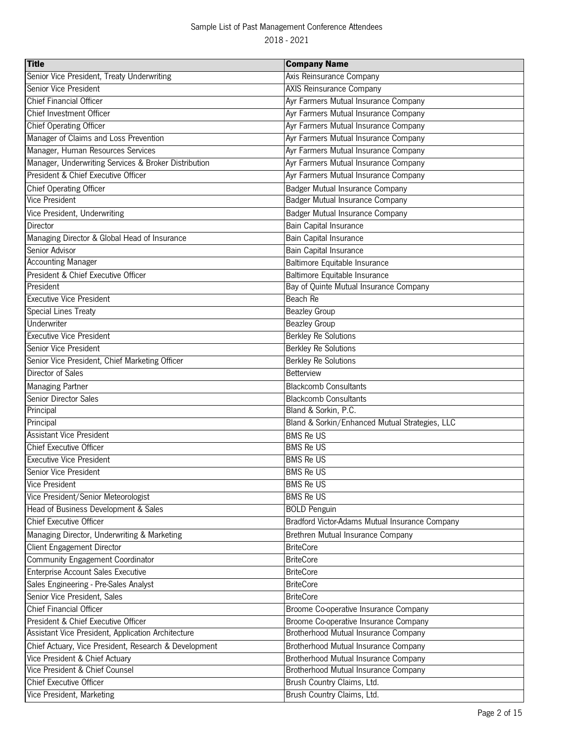| <b>Title</b>                                          | <b>Company Name</b>                            |
|-------------------------------------------------------|------------------------------------------------|
| Senior Vice President, Treaty Underwriting            | Axis Reinsurance Company                       |
| Senior Vice President                                 | <b>AXIS Reinsurance Company</b>                |
| <b>Chief Financial Officer</b>                        | Ayr Farmers Mutual Insurance Company           |
| Chief Investment Officer                              | Ayr Farmers Mutual Insurance Company           |
| <b>Chief Operating Officer</b>                        | Ayr Farmers Mutual Insurance Company           |
| Manager of Claims and Loss Prevention                 | Ayr Farmers Mutual Insurance Company           |
| Manager, Human Resources Services                     | Ayr Farmers Mutual Insurance Company           |
| Manager, Underwriting Services & Broker Distribution  | Ayr Farmers Mutual Insurance Company           |
| President & Chief Executive Officer                   | Ayr Farmers Mutual Insurance Company           |
| Chief Operating Officer                               | Badger Mutual Insurance Company                |
| Vice President                                        | Badger Mutual Insurance Company                |
| Vice President, Underwriting                          | Badger Mutual Insurance Company                |
| Director                                              | Bain Capital Insurance                         |
| Managing Director & Global Head of Insurance          | <b>Bain Capital Insurance</b>                  |
| Senior Advisor                                        | Bain Capital Insurance                         |
| <b>Accounting Manager</b>                             | Baltimore Equitable Insurance                  |
| President & Chief Executive Officer                   | Baltimore Equitable Insurance                  |
| President                                             | Bay of Quinte Mutual Insurance Company         |
| <b>Executive Vice President</b>                       | Beach Re                                       |
| <b>Special Lines Treaty</b>                           | <b>Beazley Group</b>                           |
| Underwriter                                           | <b>Beazley Group</b>                           |
| <b>Executive Vice President</b>                       | <b>Berkley Re Solutions</b>                    |
| Senior Vice President                                 | <b>Berkley Re Solutions</b>                    |
| Senior Vice President, Chief Marketing Officer        | <b>Berkley Re Solutions</b>                    |
| <b>Director of Sales</b>                              | Betterview                                     |
| <b>Managing Partner</b>                               | <b>Blackcomb Consultants</b>                   |
| Senior Director Sales                                 | <b>Blackcomb Consultants</b>                   |
| Principal                                             | Bland & Sorkin, P.C.                           |
| Principal                                             | Bland & Sorkin/Enhanced Mutual Strategies, LLC |
| <b>Assistant Vice President</b>                       | <b>BMS Re US</b>                               |
| <b>Chief Executive Officer</b>                        | <b>BMS Re US</b>                               |
| <b>Executive Vice President</b>                       | <b>BMS Re US</b>                               |
| Senior Vice President                                 | <b>BMS Re US</b>                               |
| <b>Vice President</b>                                 | <b>BMS Re US</b>                               |
| Vice President/Senior Meteorologist                   | <b>BMS Re US</b>                               |
| Head of Business Development & Sales                  | <b>BOLD Penguin</b>                            |
| Chief Executive Officer                               | Bradford Victor-Adams Mutual Insurance Company |
| Managing Director, Underwriting & Marketing           | Brethren Mutual Insurance Company              |
| Client Engagement Director                            | <b>BriteCore</b>                               |
| Community Engagement Coordinator                      | <b>BriteCore</b>                               |
| Enterprise Account Sales Executive                    | <b>BriteCore</b>                               |
| Sales Engineering - Pre-Sales Analyst                 | <b>BriteCore</b>                               |
| Senior Vice President, Sales                          | <b>BriteCore</b>                               |
| <b>Chief Financial Officer</b>                        | Broome Co-operative Insurance Company          |
| President & Chief Executive Officer                   | Broome Co-operative Insurance Company          |
| Assistant Vice President, Application Architecture    | Brotherhood Mutual Insurance Company           |
| Chief Actuary, Vice President, Research & Development | Brotherhood Mutual Insurance Company           |
| Vice President & Chief Actuary                        | Brotherhood Mutual Insurance Company           |
| Vice President & Chief Counsel                        | Brotherhood Mutual Insurance Company           |
| <b>Chief Executive Officer</b>                        | Brush Country Claims, Ltd.                     |
| Vice President, Marketing                             | Brush Country Claims, Ltd.                     |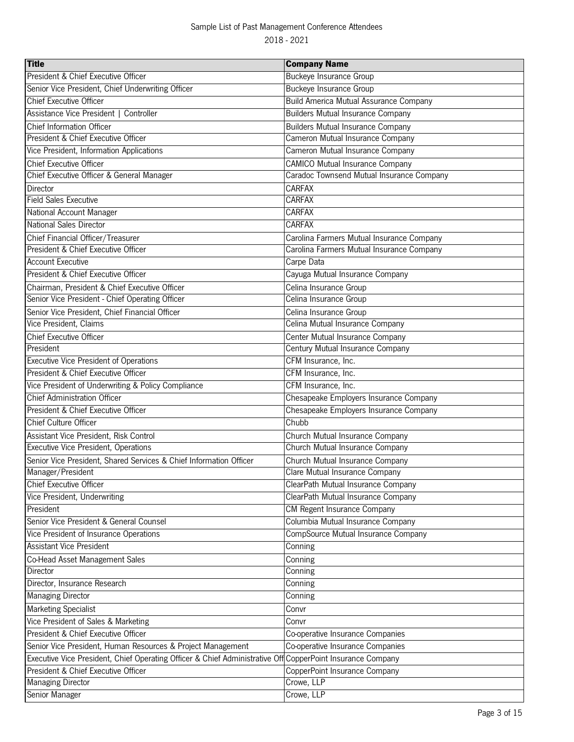| President & Chief Executive Officer<br><b>Buckeye Insurance Group</b><br>Senior Vice President, Chief Underwriting Officer<br><b>Buckeye Insurance Group</b><br><b>Chief Executive Officer</b><br><b>Build America Mutual Assurance Company</b><br>Assistance Vice President   Controller<br><b>Builders Mutual Insurance Company</b> |
|---------------------------------------------------------------------------------------------------------------------------------------------------------------------------------------------------------------------------------------------------------------------------------------------------------------------------------------|
|                                                                                                                                                                                                                                                                                                                                       |
|                                                                                                                                                                                                                                                                                                                                       |
|                                                                                                                                                                                                                                                                                                                                       |
|                                                                                                                                                                                                                                                                                                                                       |
| Chief Information Officer<br><b>Builders Mutual Insurance Company</b>                                                                                                                                                                                                                                                                 |
| President & Chief Executive Officer<br>Cameron Mutual Insurance Company                                                                                                                                                                                                                                                               |
| Vice President, Information Applications<br>Cameron Mutual Insurance Company                                                                                                                                                                                                                                                          |
| <b>Chief Executive Officer</b><br><b>CAMICO Mutual Insurance Company</b>                                                                                                                                                                                                                                                              |
| Chief Executive Officer & General Manager<br>Caradoc Townsend Mutual Insurance Company                                                                                                                                                                                                                                                |
| Director<br><b>CARFAX</b>                                                                                                                                                                                                                                                                                                             |
| <b>Field Sales Executive</b><br><b>CARFAX</b>                                                                                                                                                                                                                                                                                         |
| National Account Manager<br>CARFAX                                                                                                                                                                                                                                                                                                    |
| <b>National Sales Director</b><br><b>CARFAX</b>                                                                                                                                                                                                                                                                                       |
| Chief Financial Officer/Treasurer<br>Carolina Farmers Mutual Insurance Company                                                                                                                                                                                                                                                        |
| President & Chief Executive Officer<br>Carolina Farmers Mutual Insurance Company                                                                                                                                                                                                                                                      |
| <b>Account Executive</b><br>Carpe Data                                                                                                                                                                                                                                                                                                |
| President & Chief Executive Officer<br>Cayuga Mutual Insurance Company                                                                                                                                                                                                                                                                |
| Celina Insurance Group<br>Chairman, President & Chief Executive Officer                                                                                                                                                                                                                                                               |
| Senior Vice President - Chief Operating Officer<br>Celina Insurance Group                                                                                                                                                                                                                                                             |
| Senior Vice President, Chief Financial Officer<br>Celina Insurance Group                                                                                                                                                                                                                                                              |
| Vice President, Claims<br>Celina Mutual Insurance Company                                                                                                                                                                                                                                                                             |
| Chief Executive Officer<br>Center Mutual Insurance Company                                                                                                                                                                                                                                                                            |
| Century Mutual Insurance Company<br>President                                                                                                                                                                                                                                                                                         |
| <b>Executive Vice President of Operations</b><br>CFM Insurance, Inc.                                                                                                                                                                                                                                                                  |
| President & Chief Executive Officer<br>CFM Insurance, Inc.                                                                                                                                                                                                                                                                            |
| Vice President of Underwriting & Policy Compliance<br>CFM Insurance, Inc.                                                                                                                                                                                                                                                             |
| <b>Chief Administration Officer</b><br>Chesapeake Employers Insurance Company                                                                                                                                                                                                                                                         |
| President & Chief Executive Officer<br>Chesapeake Employers Insurance Company                                                                                                                                                                                                                                                         |
| Chief Culture Officer<br>Chubb                                                                                                                                                                                                                                                                                                        |
| Assistant Vice President, Risk Control<br>Church Mutual Insurance Company                                                                                                                                                                                                                                                             |
| Executive Vice President, Operations<br>Church Mutual Insurance Company                                                                                                                                                                                                                                                               |
| Senior Vice President, Shared Services & Chief Information Officer<br>Church Mutual Insurance Company                                                                                                                                                                                                                                 |
| Manager/President<br>Clare Mutual Insurance Company                                                                                                                                                                                                                                                                                   |
| <b>Chief Executive Officer</b><br>ClearPath Mutual Insurance Company                                                                                                                                                                                                                                                                  |
| Vice President, Underwriting<br>ClearPath Mutual Insurance Company                                                                                                                                                                                                                                                                    |
| President<br>CM Regent Insurance Company                                                                                                                                                                                                                                                                                              |
| Columbia Mutual Insurance Company<br>Senior Vice President & General Counsel                                                                                                                                                                                                                                                          |
| CompSource Mutual Insurance Company<br>Vice President of Insurance Operations                                                                                                                                                                                                                                                         |
| <b>Assistant Vice President</b><br>Conning                                                                                                                                                                                                                                                                                            |
| Co-Head Asset Management Sales<br>Conning                                                                                                                                                                                                                                                                                             |
| Director<br>Conning                                                                                                                                                                                                                                                                                                                   |
| Director, Insurance Research<br>Conning                                                                                                                                                                                                                                                                                               |
| <b>Managing Director</b><br>Conning                                                                                                                                                                                                                                                                                                   |
| <b>Marketing Specialist</b><br>Convr                                                                                                                                                                                                                                                                                                  |
| Vice President of Sales & Marketing<br>Convr                                                                                                                                                                                                                                                                                          |
| President & Chief Executive Officer<br>Co-operative Insurance Companies                                                                                                                                                                                                                                                               |
| Senior Vice President, Human Resources & Project Management<br>Co-operative Insurance Companies                                                                                                                                                                                                                                       |
| Executive Vice President, Chief Operating Officer & Chief Administrative Off CopperPoint Insurance Company                                                                                                                                                                                                                            |
| President & Chief Executive Officer<br>CopperPoint Insurance Company                                                                                                                                                                                                                                                                  |
| Crowe, LLP<br><b>Managing Director</b>                                                                                                                                                                                                                                                                                                |
| Crowe, LLP<br>Senior Manager                                                                                                                                                                                                                                                                                                          |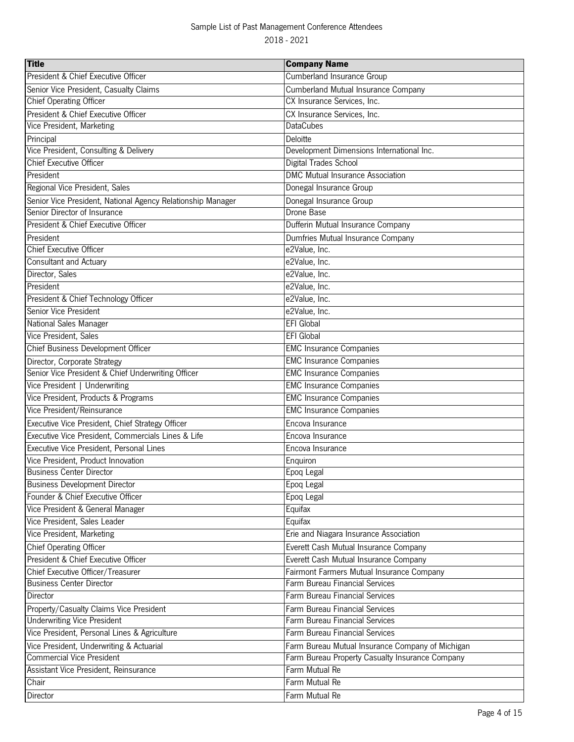| <b>Title</b>                                                | <b>Company Name</b>                              |
|-------------------------------------------------------------|--------------------------------------------------|
| President & Chief Executive Officer                         | Cumberland Insurance Group                       |
| Senior Vice President, Casualty Claims                      | <b>Cumberland Mutual Insurance Company</b>       |
| <b>Chief Operating Officer</b>                              | CX Insurance Services, Inc.                      |
| President & Chief Executive Officer                         | CX Insurance Services, Inc.                      |
| Vice President, Marketing                                   | <b>DataCubes</b>                                 |
| Principal                                                   | Deloitte                                         |
| Vice President, Consulting & Delivery                       | Development Dimensions International Inc.        |
| <b>Chief Executive Officer</b>                              | Digital Trades School                            |
| President                                                   | <b>DMC Mutual Insurance Association</b>          |
| Regional Vice President, Sales                              | Donegal Insurance Group                          |
| Senior Vice President, National Agency Relationship Manager | Donegal Insurance Group                          |
| Senior Director of Insurance                                | Drone Base                                       |
| President & Chief Executive Officer                         | Dufferin Mutual Insurance Company                |
| President                                                   | Dumfries Mutual Insurance Company                |
| <b>Chief Executive Officer</b>                              | e2Value, Inc.                                    |
| <b>Consultant and Actuary</b>                               | e2Value, Inc.                                    |
| Director, Sales                                             | e2Value, Inc.                                    |
| President                                                   | e2Value, Inc.                                    |
| President & Chief Technology Officer                        | e2Value, Inc.                                    |
| Senior Vice President                                       | e2Value, Inc.                                    |
| National Sales Manager                                      | <b>EFI Global</b>                                |
| Vice President, Sales                                       | <b>EFI Global</b>                                |
| Chief Business Development Officer                          | <b>EMC Insurance Companies</b>                   |
| Director, Corporate Strategy                                | <b>EMC Insurance Companies</b>                   |
| Senior Vice President & Chief Underwriting Officer          | <b>EMC Insurance Companies</b>                   |
| Vice President   Underwriting                               | <b>EMC</b> Insurance Companies                   |
| Vice President, Products & Programs                         | <b>EMC Insurance Companies</b>                   |
| Vice President/Reinsurance                                  | <b>EMC Insurance Companies</b>                   |
| Executive Vice President, Chief Strategy Officer            | Encova Insurance                                 |
| Executive Vice President, Commercials Lines & Life          | Encova Insurance                                 |
| Executive Vice President, Personal Lines                    | Encova Insurance                                 |
| Vice President, Product Innovation                          | Enquiron                                         |
| <b>Business Center Director</b>                             | Epoq Legal                                       |
| <b>Business Development Director</b>                        | Epoq Legal                                       |
| Founder & Chief Executive Officer                           | Epoq Legal                                       |
| Vice President & General Manager                            | Equifax                                          |
| Vice President, Sales Leader                                | Equifax                                          |
| Vice President, Marketing                                   | Erie and Niagara Insurance Association           |
| <b>Chief Operating Officer</b>                              | Everett Cash Mutual Insurance Company            |
| President & Chief Executive Officer                         | Everett Cash Mutual Insurance Company            |
| Chief Executive Officer/Treasurer                           | Fairmont Farmers Mutual Insurance Company        |
| <b>Business Center Director</b>                             | Farm Bureau Financial Services                   |
| Director                                                    | <b>Farm Bureau Financial Services</b>            |
| Property/Casualty Claims Vice President                     | Farm Bureau Financial Services                   |
| <b>Underwriting Vice President</b>                          | Farm Bureau Financial Services                   |
| Vice President, Personal Lines & Agriculture                | Farm Bureau Financial Services                   |
| Vice President, Underwriting & Actuarial                    | Farm Bureau Mutual Insurance Company of Michigan |
| <b>Commercial Vice President</b>                            | Farm Bureau Property Casualty Insurance Company  |
| Assistant Vice President, Reinsurance                       | Farm Mutual Re                                   |
| Chair                                                       | Farm Mutual Re                                   |
| Director                                                    | Farm Mutual Re                                   |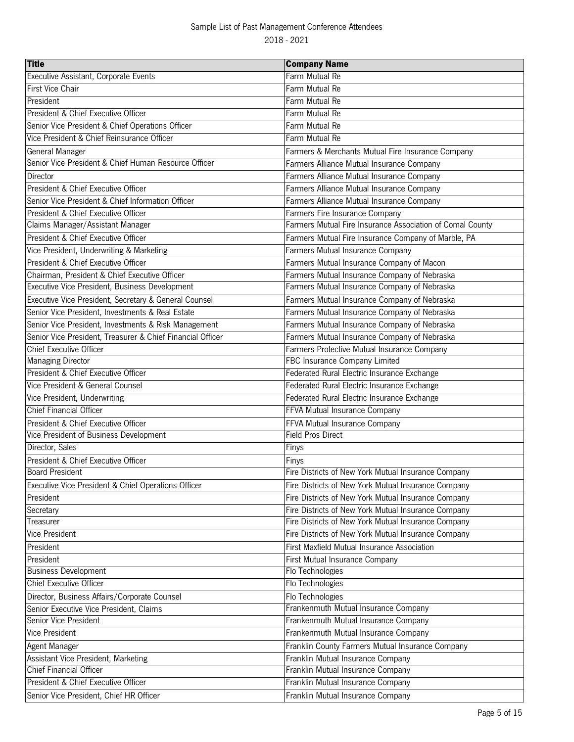| <b>Title</b>                                               | <b>Company Name</b>                                       |
|------------------------------------------------------------|-----------------------------------------------------------|
| Executive Assistant, Corporate Events                      | Farm Mutual Re                                            |
| First Vice Chair                                           | Farm Mutual Re                                            |
| President                                                  | Farm Mutual Re                                            |
| President & Chief Executive Officer                        | Farm Mutual Re                                            |
| Senior Vice President & Chief Operations Officer           | Farm Mutual Re                                            |
| Vice President & Chief Reinsurance Officer                 | Farm Mutual Re                                            |
| General Manager                                            | Farmers & Merchants Mutual Fire Insurance Company         |
| Senior Vice President & Chief Human Resource Officer       | Farmers Alliance Mutual Insurance Company                 |
| Director                                                   | Farmers Alliance Mutual Insurance Company                 |
| President & Chief Executive Officer                        | Farmers Alliance Mutual Insurance Company                 |
| Senior Vice President & Chief Information Officer          | Farmers Alliance Mutual Insurance Company                 |
| President & Chief Executive Officer                        | Farmers Fire Insurance Company                            |
| Claims Manager/Assistant Manager                           | Farmers Mutual Fire Insurance Association of Comal County |
| President & Chief Executive Officer                        | Farmers Mutual Fire Insurance Company of Marble, PA       |
| Vice President, Underwriting & Marketing                   | Farmers Mutual Insurance Company                          |
| President & Chief Executive Officer                        | Farmers Mutual Insurance Company of Macon                 |
| Chairman, President & Chief Executive Officer              | Farmers Mutual Insurance Company of Nebraska              |
| Executive Vice President, Business Development             | Farmers Mutual Insurance Company of Nebraska              |
| Executive Vice President, Secretary & General Counsel      | Farmers Mutual Insurance Company of Nebraska              |
| Senior Vice President, Investments & Real Estate           | Farmers Mutual Insurance Company of Nebraska              |
| Senior Vice President, Investments & Risk Management       | Farmers Mutual Insurance Company of Nebraska              |
| Senior Vice President, Treasurer & Chief Financial Officer | Farmers Mutual Insurance Company of Nebraska              |
| <b>Chief Executive Officer</b>                             | Farmers Protective Mutual Insurance Company               |
| <b>Managing Director</b>                                   | FBC Insurance Company Limited                             |
| President & Chief Executive Officer                        | Federated Rural Electric Insurance Exchange               |
| Vice President & General Counsel                           | Federated Rural Electric Insurance Exchange               |
| Vice President, Underwriting                               | Federated Rural Electric Insurance Exchange               |
| <b>Chief Financial Officer</b>                             | FFVA Mutual Insurance Company                             |
| President & Chief Executive Officer                        | FFVA Mutual Insurance Company                             |
| Vice President of Business Development                     | <b>Field Pros Direct</b>                                  |
| Director, Sales                                            | Finys                                                     |
| President & Chief Executive Officer                        | Finys                                                     |
| <b>Board President</b>                                     | Fire Districts of New York Mutual Insurance Company       |
| Executive Vice President & Chief Operations Officer        | Fire Districts of New York Mutual Insurance Company       |
| President                                                  | Fire Districts of New York Mutual Insurance Company       |
| Secretary                                                  | Fire Districts of New York Mutual Insurance Company       |
| Treasurer                                                  | Fire Districts of New York Mutual Insurance Company       |
| <b>Vice President</b>                                      | Fire Districts of New York Mutual Insurance Company       |
| President                                                  | <b>First Maxfield Mutual Insurance Association</b>        |
| President                                                  | First Mutual Insurance Company                            |
| <b>Business Development</b>                                | Flo Technologies                                          |
| <b>Chief Executive Officer</b>                             | Flo Technologies                                          |
| Director, Business Affairs/Corporate Counsel               | Flo Technologies                                          |
| Senior Executive Vice President, Claims                    | Frankenmuth Mutual Insurance Company                      |
| Senior Vice President                                      | Frankenmuth Mutual Insurance Company                      |
| Vice President                                             | Frankenmuth Mutual Insurance Company                      |
| Agent Manager                                              | Franklin County Farmers Mutual Insurance Company          |
| Assistant Vice President, Marketing                        | Franklin Mutual Insurance Company                         |
| <b>Chief Financial Officer</b>                             | Franklin Mutual Insurance Company                         |
| President & Chief Executive Officer                        | Franklin Mutual Insurance Company                         |
| Senior Vice President, Chief HR Officer                    | Franklin Mutual Insurance Company                         |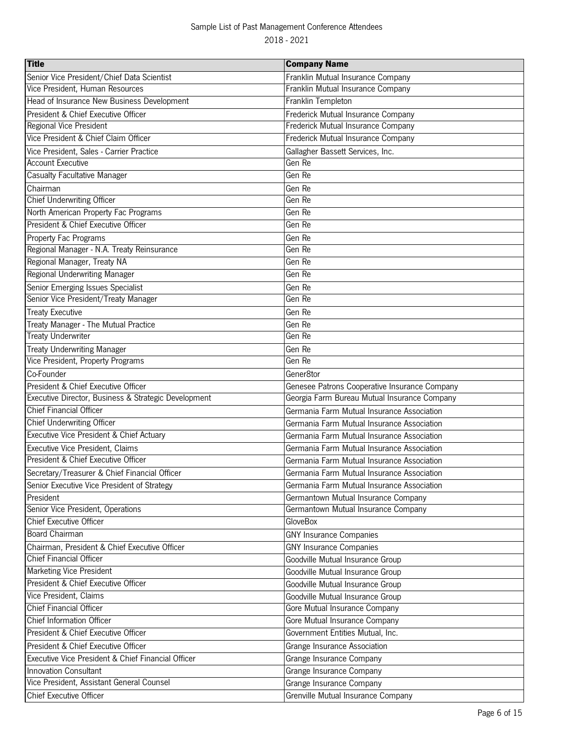| <b>Title</b>                                         | <b>Company Name</b>                           |
|------------------------------------------------------|-----------------------------------------------|
| Senior Vice President/Chief Data Scientist           | Franklin Mutual Insurance Company             |
| Vice President, Human Resources                      | Franklin Mutual Insurance Company             |
| Head of Insurance New Business Development           | Franklin Templeton                            |
| President & Chief Executive Officer                  | Frederick Mutual Insurance Company            |
| Regional Vice President                              | Frederick Mutual Insurance Company            |
| Vice President & Chief Claim Officer                 | Frederick Mutual Insurance Company            |
| Vice President, Sales - Carrier Practice             | Gallagher Bassett Services, Inc.              |
| <b>Account Executive</b>                             | Gen Re                                        |
| <b>Casualty Facultative Manager</b>                  | Gen Re                                        |
| Chairman                                             | Gen Re                                        |
| Chief Underwriting Officer                           | Gen Re                                        |
| North American Property Fac Programs                 | Gen Re                                        |
| President & Chief Executive Officer                  | Gen Re                                        |
| Property Fac Programs                                | Gen Re                                        |
| Regional Manager - N.A. Treaty Reinsurance           | Gen Re                                        |
| Regional Manager, Treaty NA                          | Gen Re                                        |
| Regional Underwriting Manager                        | Gen Re                                        |
| Senior Emerging Issues Specialist                    | Gen Re                                        |
| Senior Vice President/Treaty Manager                 | Gen Re                                        |
| <b>Treaty Executive</b>                              | Gen Re                                        |
| Treaty Manager - The Mutual Practice                 | Gen Re                                        |
| <b>Treaty Underwriter</b>                            | Gen Re                                        |
| <b>Treaty Underwriting Manager</b>                   | Gen Re                                        |
| Vice President, Property Programs                    | Gen Re                                        |
| Co-Founder                                           | Gener8tor                                     |
| President & Chief Executive Officer                  | Genesee Patrons Cooperative Insurance Company |
| Executive Director, Business & Strategic Development | Georgia Farm Bureau Mutual Insurance Company  |
| <b>Chief Financial Officer</b>                       | Germania Farm Mutual Insurance Association    |
| <b>Chief Underwriting Officer</b>                    | Germania Farm Mutual Insurance Association    |
| <b>Executive Vice President &amp; Chief Actuary</b>  | Germania Farm Mutual Insurance Association    |
| Executive Vice President, Claims                     | Germania Farm Mutual Insurance Association    |
| President & Chief Executive Officer                  | Germania Farm Mutual Insurance Association    |
| Secretary/Treasurer & Chief Financial Officer        | Germania Farm Mutual Insurance Association    |
| Senior Executive Vice President of Strategy          | Germania Farm Mutual Insurance Association    |
| President                                            | Germantown Mutual Insurance Company           |
| Senior Vice President, Operations                    | Germantown Mutual Insurance Company           |
| <b>Chief Executive Officer</b>                       | <b>GloveBox</b>                               |
| <b>Board Chairman</b>                                | <b>GNY Insurance Companies</b>                |
| Chairman, President & Chief Executive Officer        | <b>GNY Insurance Companies</b>                |
| <b>Chief Financial Officer</b>                       | Goodville Mutual Insurance Group              |
| <b>Marketing Vice President</b>                      | Goodville Mutual Insurance Group              |
| President & Chief Executive Officer                  | Goodville Mutual Insurance Group              |
| Vice President, Claims                               | Goodville Mutual Insurance Group              |
| <b>Chief Financial Officer</b>                       | Gore Mutual Insurance Company                 |
| Chief Information Officer                            | Gore Mutual Insurance Company                 |
| President & Chief Executive Officer                  | Government Entities Mutual, Inc.              |
| President & Chief Executive Officer                  | Grange Insurance Association                  |
| Executive Vice President & Chief Financial Officer   | Grange Insurance Company                      |
| <b>Innovation Consultant</b>                         | Grange Insurance Company                      |
| Vice President, Assistant General Counsel            | Grange Insurance Company                      |
| Chief Executive Officer                              | Grenville Mutual Insurance Company            |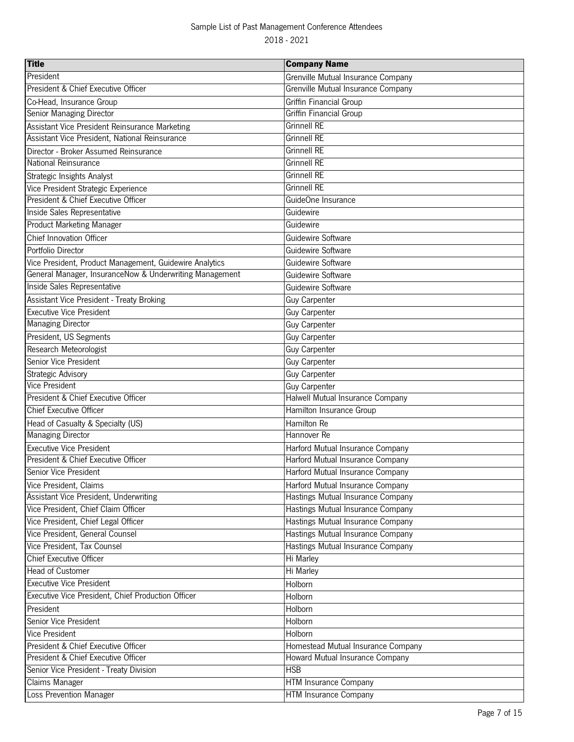| <b>Title</b>                                            | <b>Company Name</b>                |
|---------------------------------------------------------|------------------------------------|
| President                                               | Grenville Mutual Insurance Company |
| President & Chief Executive Officer                     | Grenville Mutual Insurance Company |
| Co-Head, Insurance Group                                | Griffin Financial Group            |
| Senior Managing Director                                | Griffin Financial Group            |
| Assistant Vice President Reinsurance Marketing          | <b>Grinnell RE</b>                 |
| Assistant Vice President, National Reinsurance          | <b>Grinnell RE</b>                 |
| Director - Broker Assumed Reinsurance                   | <b>Grinnell RE</b>                 |
| National Reinsurance                                    | <b>Grinnell RE</b>                 |
| Strategic Insights Analyst                              | <b>Grinnell RE</b>                 |
| Vice President Strategic Experience                     | <b>Grinnell RE</b>                 |
| President & Chief Executive Officer                     | GuideOne Insurance                 |
| Inside Sales Representative                             | Guidewire                          |
| <b>Product Marketing Manager</b>                        | Guidewire                          |
| <b>Chief Innovation Officer</b>                         | Guidewire Software                 |
| Portfolio Director                                      | Guidewire Software                 |
| Vice President, Product Management, Guidewire Analytics | Guidewire Software                 |
| General Manager, InsuranceNow & Underwriting Management | Guidewire Software                 |
| Inside Sales Representative                             | Guidewire Software                 |
| Assistant Vice President - Treaty Broking               | <b>Guy Carpenter</b>               |
| <b>Executive Vice President</b>                         | <b>Guy Carpenter</b>               |
| <b>Managing Director</b>                                | <b>Guy Carpenter</b>               |
| President, US Segments                                  | <b>Guy Carpenter</b>               |
| Research Meteorologist                                  | Guy Carpenter                      |
| Senior Vice President                                   | <b>Guy Carpenter</b>               |
| Strategic Advisory                                      | Guy Carpenter                      |
| <b>Vice President</b>                                   | <b>Guy Carpenter</b>               |
| President & Chief Executive Officer                     | Halwell Mutual Insurance Company   |
| <b>Chief Executive Officer</b>                          | Hamilton Insurance Group           |
| Head of Casualty & Specialty (US)                       | Hamilton Re                        |
| <b>Managing Director</b>                                | Hannover Re                        |
| <b>Executive Vice President</b>                         | Harford Mutual Insurance Company   |
| President & Chief Executive Officer                     | Harford Mutual Insurance Company   |
| Senior Vice President                                   | Harford Mutual Insurance Company   |
| Vice President, Claims                                  | Harford Mutual Insurance Company   |
| Assistant Vice President, Underwriting                  | Hastings Mutual Insurance Company  |
| Vice President, Chief Claim Officer                     | Hastings Mutual Insurance Company  |
| Vice President, Chief Legal Officer                     | Hastings Mutual Insurance Company  |
| Vice President, General Counsel                         | Hastings Mutual Insurance Company  |
| Vice President, Tax Counsel                             | Hastings Mutual Insurance Company  |
| <b>Chief Executive Officer</b>                          | Hi Marley                          |
| <b>Head of Customer</b>                                 | Hi Marley                          |
| <b>Executive Vice President</b>                         | Holborn                            |
| Executive Vice President, Chief Production Officer      | Holborn                            |
| President                                               | Holborn                            |
| Senior Vice President                                   | Holborn                            |
| Vice President                                          | Holborn                            |
| President & Chief Executive Officer                     | Homestead Mutual Insurance Company |
| President & Chief Executive Officer                     | Howard Mutual Insurance Company    |
| Senior Vice President - Treaty Division                 | <b>HSB</b>                         |
| <b>Claims Manager</b>                                   | <b>HTM Insurance Company</b>       |
| Loss Prevention Manager                                 | <b>HTM</b> Insurance Company       |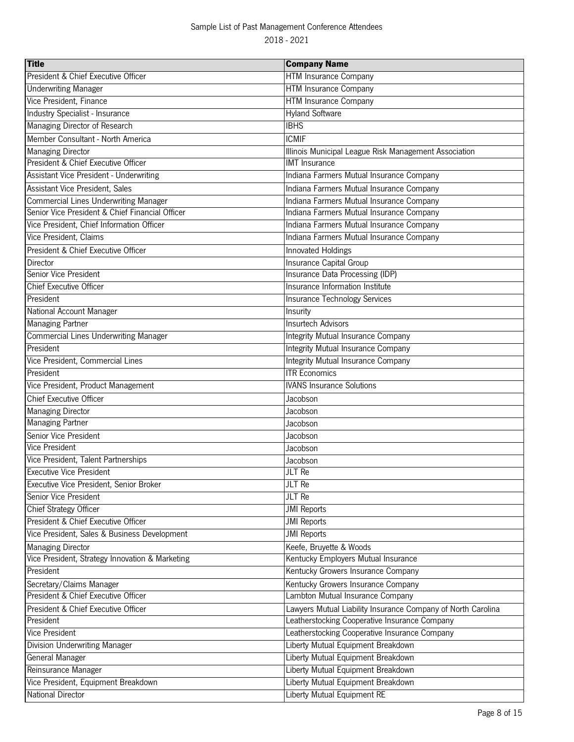| <b>Title</b>                                    | <b>Company Name</b>                                                                                           |
|-------------------------------------------------|---------------------------------------------------------------------------------------------------------------|
| President & Chief Executive Officer             | <b>HTM Insurance Company</b>                                                                                  |
| <b>Underwriting Manager</b>                     | <b>HTM Insurance Company</b>                                                                                  |
| Vice President, Finance                         | HTM Insurance Company                                                                                         |
| Industry Specialist - Insurance                 | <b>Hyland Software</b>                                                                                        |
| Managing Director of Research                   | <b>IBHS</b>                                                                                                   |
| Member Consultant - North America               | <b>ICMIF</b>                                                                                                  |
| <b>Managing Director</b>                        | Illinois Municipal League Risk Management Association                                                         |
| President & Chief Executive Officer             | <b>IMT</b> Insurance                                                                                          |
| Assistant Vice President - Underwriting         | Indiana Farmers Mutual Insurance Company                                                                      |
| Assistant Vice President, Sales                 | Indiana Farmers Mutual Insurance Company                                                                      |
| <b>Commercial Lines Underwriting Manager</b>    | Indiana Farmers Mutual Insurance Company                                                                      |
| Senior Vice President & Chief Financial Officer | Indiana Farmers Mutual Insurance Company                                                                      |
| Vice President, Chief Information Officer       | Indiana Farmers Mutual Insurance Company                                                                      |
| Vice President, Claims                          | Indiana Farmers Mutual Insurance Company                                                                      |
| President & Chief Executive Officer             | Innovated Holdings                                                                                            |
| Director                                        | Insurance Capital Group                                                                                       |
| Senior Vice President                           | Insurance Data Processing (IDP)                                                                               |
| <b>Chief Executive Officer</b>                  | Insurance Information Institute                                                                               |
| President                                       | Insurance Technology Services                                                                                 |
| National Account Manager                        | Insurity                                                                                                      |
| <b>Managing Partner</b>                         | <b>Insurtech Advisors</b>                                                                                     |
| <b>Commercial Lines Underwriting Manager</b>    | Integrity Mutual Insurance Company                                                                            |
| President                                       | Integrity Mutual Insurance Company                                                                            |
| Vice President, Commercial Lines                | Integrity Mutual Insurance Company                                                                            |
| President                                       | <b>ITR</b> Economics                                                                                          |
| Vice President, Product Management              | <b>IVANS Insurance Solutions</b>                                                                              |
| <b>Chief Executive Officer</b>                  | Jacobson                                                                                                      |
| <b>Managing Director</b>                        | Jacobson                                                                                                      |
| <b>Managing Partner</b>                         | Jacobson                                                                                                      |
| Senior Vice President                           | Jacobson                                                                                                      |
| Vice President                                  | Jacobson                                                                                                      |
| Vice President, Talent Partnerships             | Jacobson                                                                                                      |
| <b>Executive Vice President</b>                 | JLT Re                                                                                                        |
| Executive Vice President, Senior Broker         | JLT Re                                                                                                        |
| Senior Vice President                           | JLT Re                                                                                                        |
| Chief Strategy Officer                          | <b>JMI</b> Reports                                                                                            |
| President & Chief Executive Officer             | <b>JMI</b> Reports                                                                                            |
| Vice President, Sales & Business Development    | <b>JMI Reports</b>                                                                                            |
| <b>Managing Director</b>                        | Keefe, Bruyette & Woods                                                                                       |
| Vice President, Strategy Innovation & Marketing | Kentucky Employers Mutual Insurance                                                                           |
| President                                       | Kentucky Growers Insurance Company                                                                            |
| Secretary/Claims Manager                        |                                                                                                               |
| President & Chief Executive Officer             | Kentucky Growers Insurance Company<br>Lambton Mutual Insurance Company                                        |
| President & Chief Executive Officer             |                                                                                                               |
| President                                       | Lawyers Mutual Liability Insurance Company of North Carolina<br>Leatherstocking Cooperative Insurance Company |
| Vice President                                  | Leatherstocking Cooperative Insurance Company                                                                 |
|                                                 |                                                                                                               |
| Division Underwriting Manager                   | Liberty Mutual Equipment Breakdown<br>Liberty Mutual Equipment Breakdown                                      |
| General Manager<br>Reinsurance Manager          |                                                                                                               |
|                                                 | Liberty Mutual Equipment Breakdown                                                                            |
| Vice President, Equipment Breakdown             | Liberty Mutual Equipment Breakdown                                                                            |
| National Director                               | Liberty Mutual Equipment RE                                                                                   |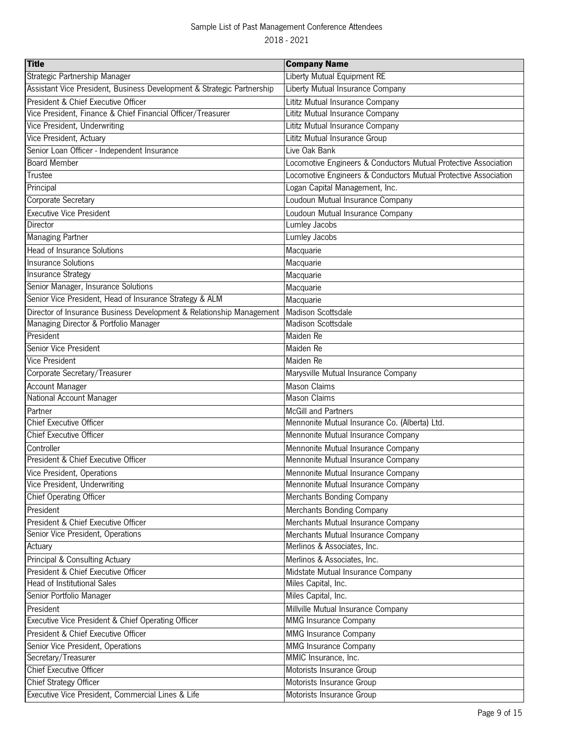| <b>Title</b>                                                           | <b>Company Name</b>                                             |
|------------------------------------------------------------------------|-----------------------------------------------------------------|
| Strategic Partnership Manager                                          | Liberty Mutual Equipment RE                                     |
| Assistant Vice President, Business Development & Strategic Partnership | Liberty Mutual Insurance Company                                |
| President & Chief Executive Officer                                    | Lititz Mutual Insurance Company                                 |
| Vice President, Finance & Chief Financial Officer/Treasurer            | Lititz Mutual Insurance Company                                 |
| Vice President, Underwriting                                           | Lititz Mutual Insurance Company                                 |
| Vice President, Actuary                                                | Lititz Mutual Insurance Group                                   |
| Senior Loan Officer - Independent Insurance                            | Live Oak Bank                                                   |
| <b>Board Member</b>                                                    | Locomotive Engineers & Conductors Mutual Protective Association |
| Trustee                                                                | Locomotive Engineers & Conductors Mutual Protective Association |
| Principal                                                              | Logan Capital Management, Inc.                                  |
| Corporate Secretary                                                    | Loudoun Mutual Insurance Company                                |
| <b>Executive Vice President</b>                                        | Loudoun Mutual Insurance Company                                |
| Director                                                               | Lumley Jacobs                                                   |
| <b>Managing Partner</b>                                                | Lumley Jacobs                                                   |
| <b>Head of Insurance Solutions</b>                                     | Macquarie                                                       |
| <b>Insurance Solutions</b>                                             | Macquarie                                                       |
| Insurance Strategy                                                     | Macquarie                                                       |
| Senior Manager, Insurance Solutions                                    | Macquarie                                                       |
| Senior Vice President, Head of Insurance Strategy & ALM                | Macquarie                                                       |
| Director of Insurance Business Development & Relationship Management   | Madison Scottsdale                                              |
| Managing Director & Portfolio Manager                                  | <b>Madison Scottsdale</b>                                       |
| President                                                              | Maiden Re                                                       |
| Senior Vice President                                                  | Maiden Re                                                       |
| Vice President                                                         | Maiden Re                                                       |
| Corporate Secretary/Treasurer                                          | Marysville Mutual Insurance Company                             |
| Account Manager                                                        | <b>Mason Claims</b>                                             |
| National Account Manager                                               | <b>Mason Claims</b>                                             |
| Partner                                                                | <b>McGill and Partners</b>                                      |
| <b>Chief Executive Officer</b>                                         | Mennonite Mutual Insurance Co. (Alberta) Ltd.                   |
| <b>Chief Executive Officer</b>                                         | Mennonite Mutual Insurance Company                              |
| Controller                                                             | Mennonite Mutual Insurance Company                              |
| President & Chief Executive Officer                                    | Mennonite Mutual Insurance Company                              |
| Vice President, Operations                                             | Mennonite Mutual Insurance Company                              |
| Vice President, Underwriting                                           | Mennonite Mutual Insurance Company                              |
| <b>Chief Operating Officer</b>                                         | Merchants Bonding Company                                       |
| President                                                              | Merchants Bonding Company                                       |
| President & Chief Executive Officer                                    | Merchants Mutual Insurance Company                              |
| Senior Vice President, Operations                                      | Merchants Mutual Insurance Company                              |
| Actuary                                                                | Merlinos & Associates, Inc.                                     |
| Principal & Consulting Actuary                                         | Merlinos & Associates, Inc.                                     |
| President & Chief Executive Officer                                    | Midstate Mutual Insurance Company                               |
| Head of Institutional Sales                                            | Miles Capital, Inc.                                             |
| Senior Portfolio Manager                                               | Miles Capital, Inc.                                             |
| President                                                              | Millville Mutual Insurance Company                              |
| Executive Vice President & Chief Operating Officer                     | <b>MMG Insurance Company</b>                                    |
| President & Chief Executive Officer                                    | <b>MMG Insurance Company</b>                                    |
| Senior Vice President, Operations                                      | MMG Insurance Company                                           |
| Secretary/Treasurer                                                    | MMIC Insurance, Inc.                                            |
| <b>Chief Executive Officer</b>                                         | Motorists Insurance Group                                       |
| <b>Chief Strategy Officer</b>                                          | Motorists Insurance Group                                       |
| Executive Vice President, Commercial Lines & Life                      | Motorists Insurance Group                                       |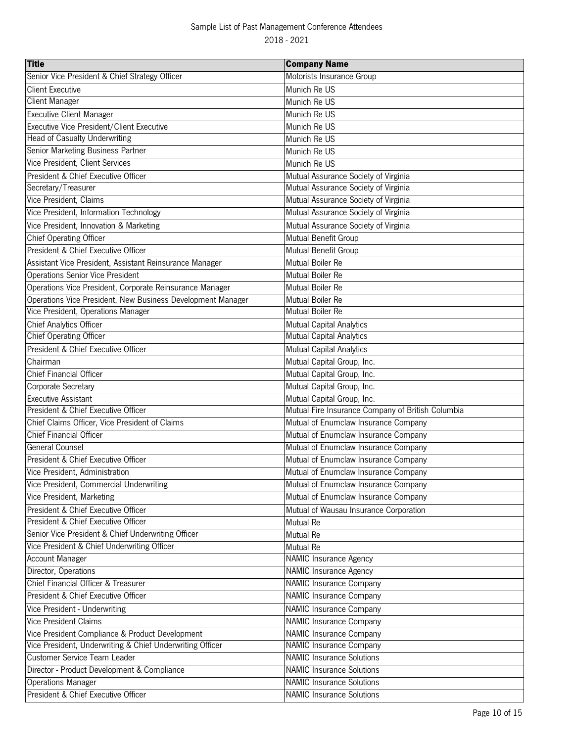| <b>Title</b>                                                | <b>Company Name</b>                               |
|-------------------------------------------------------------|---------------------------------------------------|
| Senior Vice President & Chief Strategy Officer              | Motorists Insurance Group                         |
| <b>Client Executive</b>                                     | Munich Re US                                      |
| <b>Client Manager</b>                                       | Munich Re US                                      |
| <b>Executive Client Manager</b>                             | Munich Re US                                      |
| Executive Vice President/Client Executive                   | Munich Re US                                      |
| Head of Casualty Underwriting                               | Munich Re US                                      |
| Senior Marketing Business Partner                           | Munich Re US                                      |
| Vice President, Client Services                             | Munich Re US                                      |
| President & Chief Executive Officer                         | Mutual Assurance Society of Virginia              |
| Secretary/Treasurer                                         | Mutual Assurance Society of Virginia              |
| Vice President, Claims                                      | Mutual Assurance Society of Virginia              |
| Vice President, Information Technology                      | Mutual Assurance Society of Virginia              |
| Vice President, Innovation & Marketing                      | Mutual Assurance Society of Virginia              |
| <b>Chief Operating Officer</b>                              | Mutual Benefit Group                              |
| President & Chief Executive Officer                         | Mutual Benefit Group                              |
| Assistant Vice President, Assistant Reinsurance Manager     | Mutual Boiler Re                                  |
| Operations Senior Vice President                            | Mutual Boiler Re                                  |
| Operations Vice President, Corporate Reinsurance Manager    | Mutual Boiler Re                                  |
| Operations Vice President, New Business Development Manager | Mutual Boiler Re                                  |
| Vice President, Operations Manager                          | <b>Mutual Boiler Re</b>                           |
| Chief Analytics Officer                                     | Mutual Capital Analytics                          |
| <b>Chief Operating Officer</b>                              | Mutual Capital Analytics                          |
| President & Chief Executive Officer                         | Mutual Capital Analytics                          |
| Chairman                                                    | Mutual Capital Group, Inc.                        |
| <b>Chief Financial Officer</b>                              | Mutual Capital Group, Inc.                        |
| Corporate Secretary                                         | Mutual Capital Group, Inc.                        |
| Executive Assistant                                         | Mutual Capital Group, Inc.                        |
| President & Chief Executive Officer                         | Mutual Fire Insurance Company of British Columbia |
| Chief Claims Officer, Vice President of Claims              | Mutual of Enumclaw Insurance Company              |
| <b>Chief Financial Officer</b>                              | Mutual of Enumclaw Insurance Company              |
| <b>General Counsel</b>                                      | Mutual of Enumclaw Insurance Company              |
| President & Chief Executive Officer                         | Mutual of Enumclaw Insurance Company              |
| Vice President, Administration                              | Mutual of Enumclaw Insurance Company              |
| Vice President, Commercial Underwriting                     | Mutual of Enumclaw Insurance Company              |
| Vice President, Marketing                                   | Mutual of Enumclaw Insurance Company              |
| President & Chief Executive Officer                         | Mutual of Wausau Insurance Corporation            |
| President & Chief Executive Officer                         | Mutual Re                                         |
| Senior Vice President & Chief Underwriting Officer          | Mutual Re                                         |
| Vice President & Chief Underwriting Officer                 | Mutual Re                                         |
| <b>Account Manager</b>                                      | <b>NAMIC Insurance Agency</b>                     |
| Director, Operations                                        | <b>NAMIC Insurance Agency</b>                     |
| Chief Financial Officer & Treasurer                         | NAMIC Insurance Company                           |
| President & Chief Executive Officer                         | <b>NAMIC Insurance Company</b>                    |
| Vice President - Underwriting                               | NAMIC Insurance Company                           |
| <b>Vice President Claims</b>                                | <b>NAMIC Insurance Company</b>                    |
| Vice President Compliance & Product Development             | <b>NAMIC Insurance Company</b>                    |
| Vice President, Underwriting & Chief Underwriting Officer   | <b>NAMIC Insurance Company</b>                    |
| Customer Service Team Leader                                | <b>NAMIC Insurance Solutions</b>                  |
| Director - Product Development & Compliance                 | <b>NAMIC Insurance Solutions</b>                  |
| <b>Operations Manager</b>                                   | <b>NAMIC Insurance Solutions</b>                  |
| President & Chief Executive Officer                         | <b>NAMIC Insurance Solutions</b>                  |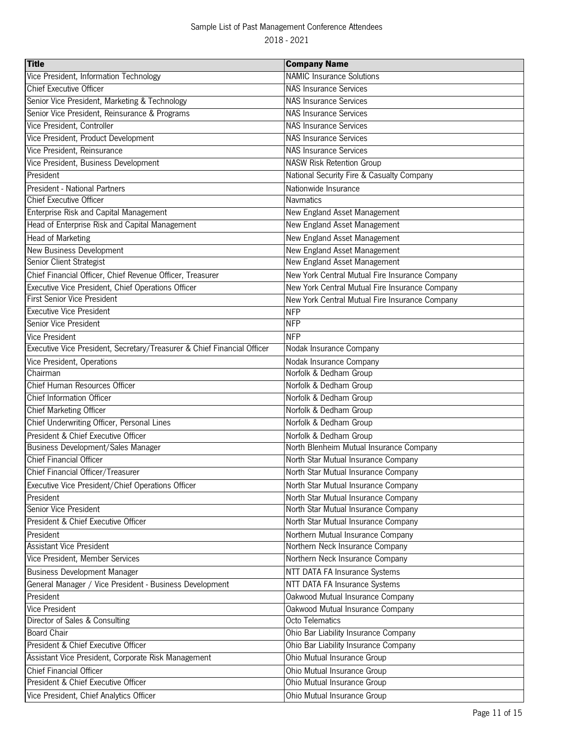| <b>Title</b>                                                            | <b>Company Name</b>                            |
|-------------------------------------------------------------------------|------------------------------------------------|
| Vice President, Information Technology                                  | <b>NAMIC Insurance Solutions</b>               |
| <b>Chief Executive Officer</b>                                          | <b>NAS Insurance Services</b>                  |
| Senior Vice President, Marketing & Technology                           | <b>NAS Insurance Services</b>                  |
| Senior Vice President, Reinsurance & Programs                           | <b>NAS Insurance Services</b>                  |
| Vice President, Controller                                              | <b>NAS Insurance Services</b>                  |
| Vice President, Product Development                                     | <b>NAS Insurance Services</b>                  |
| Vice President, Reinsurance                                             | <b>NAS Insurance Services</b>                  |
| Vice President, Business Development                                    | <b>NASW Risk Retention Group</b>               |
| President                                                               | National Security Fire & Casualty Company      |
| President - National Partners                                           | Nationwide Insurance                           |
| <b>Chief Executive Officer</b>                                          | Navmatics                                      |
| Enterprise Risk and Capital Management                                  | New England Asset Management                   |
| Head of Enterprise Risk and Capital Management                          | New England Asset Management                   |
| Head of Marketing                                                       | New England Asset Management                   |
| New Business Development                                                | New England Asset Management                   |
| Senior Client Strategist                                                | New England Asset Management                   |
| Chief Financial Officer, Chief Revenue Officer, Treasurer               | New York Central Mutual Fire Insurance Company |
| Executive Vice President, Chief Operations Officer                      | New York Central Mutual Fire Insurance Company |
| First Senior Vice President                                             | New York Central Mutual Fire Insurance Company |
| <b>Executive Vice President</b>                                         | <b>NFP</b>                                     |
| Senior Vice President                                                   | <b>NFP</b>                                     |
| Vice President                                                          | <b>NFP</b>                                     |
| Executive Vice President, Secretary/Treasurer & Chief Financial Officer | Nodak Insurance Company                        |
| Vice President, Operations                                              | Nodak Insurance Company                        |
| Chairman                                                                | Norfolk & Dedham Group                         |
| Chief Human Resources Officer                                           | Norfolk & Dedham Group                         |
| Chief Information Officer                                               | Norfolk & Dedham Group                         |
| <b>Chief Marketing Officer</b>                                          | Norfolk & Dedham Group                         |
| Chief Underwriting Officer, Personal Lines                              | Norfolk & Dedham Group                         |
| President & Chief Executive Officer                                     | Norfolk & Dedham Group                         |
| <b>Business Development/Sales Manager</b>                               | North Blenheim Mutual Insurance Company        |
| <b>Chief Financial Officer</b>                                          | North Star Mutual Insurance Company            |
| Chief Financial Officer/Treasurer                                       | North Star Mutual Insurance Company            |
| Executive Vice President/Chief Operations Officer                       | North Star Mutual Insurance Company            |
| President                                                               | North Star Mutual Insurance Company            |
| Senior Vice President                                                   | North Star Mutual Insurance Company            |
| President & Chief Executive Officer                                     | North Star Mutual Insurance Company            |
| President                                                               | Northern Mutual Insurance Company              |
| <b>Assistant Vice President</b>                                         | Northern Neck Insurance Company                |
| Vice President, Member Services                                         | Northern Neck Insurance Company                |
| <b>Business Development Manager</b>                                     | NTT DATA FA Insurance Systems                  |
| General Manager / Vice President - Business Development                 | NTT DATA FA Insurance Systems                  |
| President                                                               | Oakwood Mutual Insurance Company               |
| Vice President                                                          | Oakwood Mutual Insurance Company               |
| Director of Sales & Consulting                                          | Octo Telematics                                |
| <b>Board Chair</b>                                                      | Ohio Bar Liability Insurance Company           |
| President & Chief Executive Officer                                     | Ohio Bar Liability Insurance Company           |
| Assistant Vice President, Corporate Risk Management                     | Ohio Mutual Insurance Group                    |
| <b>Chief Financial Officer</b>                                          | Ohio Mutual Insurance Group                    |
| President & Chief Executive Officer                                     | Ohio Mutual Insurance Group                    |
| Vice President, Chief Analytics Officer                                 | Ohio Mutual Insurance Group                    |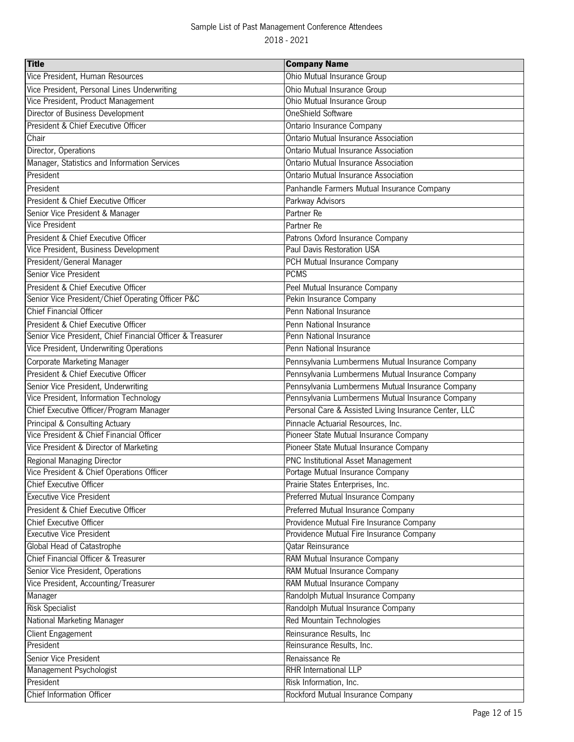| <b>Title</b>                                               | <b>Company Name</b>                                   |
|------------------------------------------------------------|-------------------------------------------------------|
| Vice President, Human Resources                            | Ohio Mutual Insurance Group                           |
| Vice President, Personal Lines Underwriting                | Ohio Mutual Insurance Group                           |
| Vice President, Product Management                         | Ohio Mutual Insurance Group                           |
| Director of Business Development                           | OneShield Software                                    |
| President & Chief Executive Officer                        | Ontario Insurance Company                             |
| Chair                                                      | <b>Ontario Mutual Insurance Association</b>           |
| Director, Operations                                       | <b>Ontario Mutual Insurance Association</b>           |
| Manager, Statistics and Information Services               | Ontario Mutual Insurance Association                  |
| President                                                  | Ontario Mutual Insurance Association                  |
| President                                                  | Panhandle Farmers Mutual Insurance Company            |
| President & Chief Executive Officer                        | Parkway Advisors                                      |
| Senior Vice President & Manager                            | Partner Re                                            |
| <b>Vice President</b>                                      | Partner Re                                            |
| President & Chief Executive Officer                        | Patrons Oxford Insurance Company                      |
| Vice President, Business Development                       | Paul Davis Restoration USA                            |
| President/General Manager                                  | PCH Mutual Insurance Company                          |
| Senior Vice President                                      | <b>PCMS</b>                                           |
| President & Chief Executive Officer                        | Peel Mutual Insurance Company                         |
| Senior Vice President/Chief Operating Officer P&C          | Pekin Insurance Company                               |
| <b>Chief Financial Officer</b>                             | Penn National Insurance                               |
| President & Chief Executive Officer                        | Penn National Insurance                               |
| Senior Vice President, Chief Financial Officer & Treasurer | Penn National Insurance                               |
| Vice President, Underwriting Operations                    | Penn National Insurance                               |
| Corporate Marketing Manager                                | Pennsylvania Lumbermens Mutual Insurance Company      |
| President & Chief Executive Officer                        | Pennsylvania Lumbermens Mutual Insurance Company      |
| Senior Vice President, Underwriting                        | Pennsylvania Lumbermens Mutual Insurance Company      |
| Vice President, Information Technology                     | Pennsylvania Lumbermens Mutual Insurance Company      |
| Chief Executive Officer/Program Manager                    | Personal Care & Assisted Living Insurance Center, LLC |
| Principal & Consulting Actuary                             | Pinnacle Actuarial Resources, Inc.                    |
| Vice President & Chief Financial Officer                   | Pioneer State Mutual Insurance Company                |
| Vice President & Director of Marketing                     | Pioneer State Mutual Insurance Company                |
| Regional Managing Director                                 | PNC Institutional Asset Management                    |
| Vice President & Chief Operations Officer                  | Portage Mutual Insurance Company                      |
| <b>Chief Executive Officer</b>                             | Prairie States Enterprises, Inc.                      |
| <b>Executive Vice President</b>                            | Preferred Mutual Insurance Company                    |
| President & Chief Executive Officer                        | Preferred Mutual Insurance Company                    |
| <b>Chief Executive Officer</b>                             | Providence Mutual Fire Insurance Company              |
| <b>Executive Vice President</b>                            | Providence Mutual Fire Insurance Company              |
| Global Head of Catastrophe                                 | Qatar Reinsurance                                     |
| Chief Financial Officer & Treasurer                        | RAM Mutual Insurance Company                          |
| Senior Vice President, Operations                          | RAM Mutual Insurance Company                          |
| Vice President, Accounting/Treasurer                       | RAM Mutual Insurance Company                          |
| Manager                                                    | Randolph Mutual Insurance Company                     |
| <b>Risk Specialist</b>                                     | Randolph Mutual Insurance Company                     |
| National Marketing Manager                                 | Red Mountain Technologies                             |
| Client Engagement                                          | Reinsurance Results, Inc                              |
| President                                                  | Reinsurance Results, Inc.                             |
| Senior Vice President                                      | Renaissance Re                                        |
| Management Psychologist                                    | RHR International LLP                                 |
| President                                                  | Risk Information, Inc.                                |
| Chief Information Officer                                  | Rockford Mutual Insurance Company                     |
|                                                            |                                                       |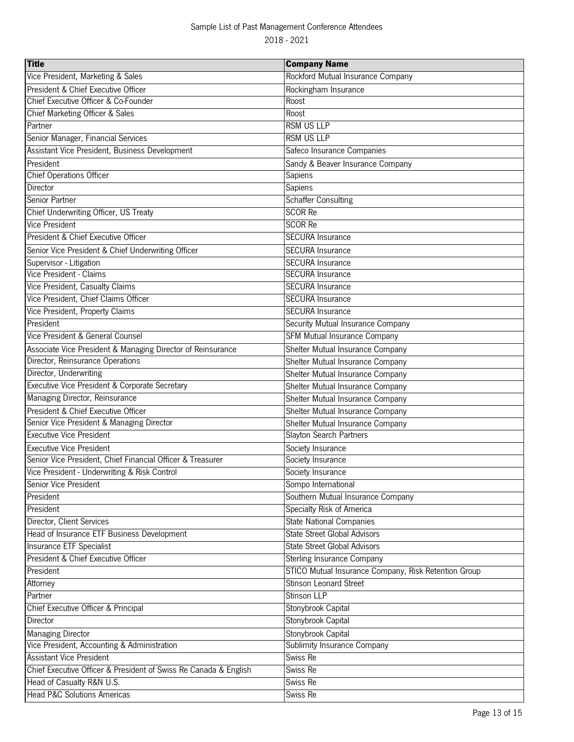| <b>Title</b>                                                     | <b>Company Name</b>                                  |
|------------------------------------------------------------------|------------------------------------------------------|
| Vice President, Marketing & Sales                                | Rockford Mutual Insurance Company                    |
| President & Chief Executive Officer                              | Rockingham Insurance                                 |
| Chief Executive Officer & Co-Founder                             | Roost                                                |
| Chief Marketing Officer & Sales                                  | Roost                                                |
| Partner                                                          | <b>RSM US LLP</b>                                    |
| Senior Manager, Financial Services                               | <b>RSM US LLP</b>                                    |
| Assistant Vice President, Business Development                   | Safeco Insurance Companies                           |
| President                                                        | Sandy & Beaver Insurance Company                     |
| <b>Chief Operations Officer</b>                                  | Sapiens                                              |
| Director                                                         | Sapiens                                              |
| Senior Partner                                                   | <b>Schaffer Consulting</b>                           |
| Chief Underwriting Officer, US Treaty                            | <b>SCOR Re</b>                                       |
| <b>Vice President</b>                                            | <b>SCOR Re</b>                                       |
| President & Chief Executive Officer                              | <b>SECURA Insurance</b>                              |
| Senior Vice President & Chief Underwriting Officer               | <b>SECURA Insurance</b>                              |
| Supervisor - Litigation                                          | <b>SECURA Insurance</b>                              |
| Vice President - Claims                                          | <b>SECURA Insurance</b>                              |
| Vice President, Casualty Claims                                  | <b>SECURA Insurance</b>                              |
| Vice President, Chief Claims Officer                             | <b>SECURA Insurance</b>                              |
| Vice President, Property Claims                                  | <b>SECURA Insurance</b>                              |
| President                                                        | Security Mutual Insurance Company                    |
| Vice President & General Counsel                                 | SFM Mutual Insurance Company                         |
| Associate Vice President & Managing Director of Reinsurance      | Shelter Mutual Insurance Company                     |
| Director, Reinsurance Operations                                 | Shelter Mutual Insurance Company                     |
| Director, Underwriting                                           | Shelter Mutual Insurance Company                     |
| Executive Vice President & Corporate Secretary                   | Shelter Mutual Insurance Company                     |
| Managing Director, Reinsurance                                   | Shelter Mutual Insurance Company                     |
| President & Chief Executive Officer                              | Shelter Mutual Insurance Company                     |
| Senior Vice President & Managing Director                        | Shelter Mutual Insurance Company                     |
| <b>Executive Vice President</b>                                  | Slayton Search Partners                              |
| <b>Executive Vice President</b>                                  | Society Insurance                                    |
| Senior Vice President, Chief Financial Officer & Treasurer       | Society Insurance                                    |
| Vice President - Underwriting & Risk Control                     | Society Insurance                                    |
| Senior Vice President                                            | Sompo International                                  |
| President                                                        | Southern Mutual Insurance Company                    |
| President                                                        | Specialty Risk of America                            |
| Director, Client Services                                        | <b>State National Companies</b>                      |
| Head of Insurance ETF Business Development                       | <b>State Street Global Advisors</b>                  |
| Insurance ETF Specialist                                         | <b>State Street Global Advisors</b>                  |
| President & Chief Executive Officer                              | Sterling Insurance Company                           |
| President                                                        | STICO Mutual Insurance Company, Risk Retention Group |
| Attorney                                                         | <b>Stinson Leonard Street</b>                        |
| Partner                                                          | Stinson LLP                                          |
| Chief Executive Officer & Principal                              | Stonybrook Capital                                   |
| Director                                                         | Stonybrook Capital                                   |
| <b>Managing Director</b>                                         | Stonybrook Capital                                   |
| Vice President, Accounting & Administration                      | Sublimity Insurance Company                          |
| <b>Assistant Vice President</b>                                  | Swiss Re                                             |
| Chief Executive Officer & President of Swiss Re Canada & English | Swiss Re                                             |
| Head of Casualty R&N U.S.                                        | Swiss Re                                             |
| <b>Head P&amp;C Solutions Americas</b>                           | Swiss Re                                             |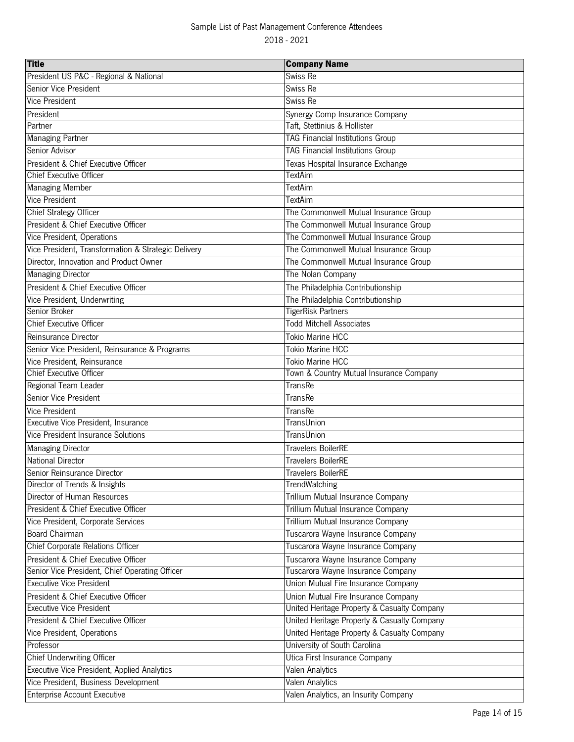| <b>Title</b>                                        | <b>Company Name</b>                         |
|-----------------------------------------------------|---------------------------------------------|
| President US P&C - Regional & National              | Swiss Re                                    |
| Senior Vice President                               | Swiss Re                                    |
| <b>Vice President</b>                               | Swiss Re                                    |
| President                                           | Synergy Comp Insurance Company              |
| Partner                                             | Taft, Stettinius & Hollister                |
| Managing Partner                                    | <b>TAG Financial Institutions Group</b>     |
| Senior Advisor                                      | <b>TAG Financial Institutions Group</b>     |
| President & Chief Executive Officer                 | Texas Hospital Insurance Exchange           |
| <b>Chief Executive Officer</b>                      | <b>TextAim</b>                              |
| <b>Managing Member</b>                              | <b>TextAim</b>                              |
| <b>Vice President</b>                               | <b>TextAim</b>                              |
| Chief Strategy Officer                              | The Commonwell Mutual Insurance Group       |
| President & Chief Executive Officer                 | The Commonwell Mutual Insurance Group       |
| Vice President, Operations                          | The Commonwell Mutual Insurance Group       |
| Vice President, Transformation & Strategic Delivery | The Commonwell Mutual Insurance Group       |
| Director, Innovation and Product Owner              | The Commonwell Mutual Insurance Group       |
| <b>Managing Director</b>                            | The Nolan Company                           |
| President & Chief Executive Officer                 | The Philadelphia Contributionship           |
| Vice President, Underwriting                        | The Philadelphia Contributionship           |
| Senior Broker                                       | <b>TigerRisk Partners</b>                   |
| <b>Chief Executive Officer</b>                      | <b>Todd Mitchell Associates</b>             |
| Reinsurance Director                                | Tokio Marine HCC                            |
| Senior Vice President, Reinsurance & Programs       | <b>Tokio Marine HCC</b>                     |
| Vice President, Reinsurance                         | Tokio Marine HCC                            |
| <b>Chief Executive Officer</b>                      | Town & Country Mutual Insurance Company     |
| Regional Team Leader                                | <b>TransRe</b>                              |
| Senior Vice President                               | <b>TransRe</b>                              |
| Vice President                                      | TransRe                                     |
| Executive Vice President, Insurance                 | TransUnion                                  |
| Vice President Insurance Solutions                  | TransUnion                                  |
| <b>Managing Director</b>                            | <b>Travelers BoilerRE</b>                   |
| <b>National Director</b>                            | <b>Travelers BoilerRE</b>                   |
| Senior Reinsurance Director                         | <b>Travelers BoilerRE</b>                   |
| Director of Trends & Insights                       | TrendWatching                               |
| Director of Human Resources                         | Trillium Mutual Insurance Company           |
| President & Chief Executive Officer                 | Trillium Mutual Insurance Company           |
| Vice President, Corporate Services                  | Trillium Mutual Insurance Company           |
| <b>Board Chairman</b>                               | Tuscarora Wayne Insurance Company           |
| Chief Corporate Relations Officer                   | Tuscarora Wayne Insurance Company           |
| President & Chief Executive Officer                 | Tuscarora Wayne Insurance Company           |
| Senior Vice President, Chief Operating Officer      | Tuscarora Wayne Insurance Company           |
| <b>Executive Vice President</b>                     | Union Mutual Fire Insurance Company         |
| President & Chief Executive Officer                 | Union Mutual Fire Insurance Company         |
| <b>Executive Vice President</b>                     | United Heritage Property & Casualty Company |
| President & Chief Executive Officer                 | United Heritage Property & Casualty Company |
| Vice President, Operations                          | United Heritage Property & Casualty Company |
| Professor                                           | University of South Carolina                |
| <b>Chief Underwriting Officer</b>                   | Utica First Insurance Company               |
| Executive Vice President, Applied Analytics         | Valen Analytics                             |
| Vice President, Business Development                | <b>Valen Analytics</b>                      |
| Enterprise Account Executive                        | Valen Analytics, an Insurity Company        |